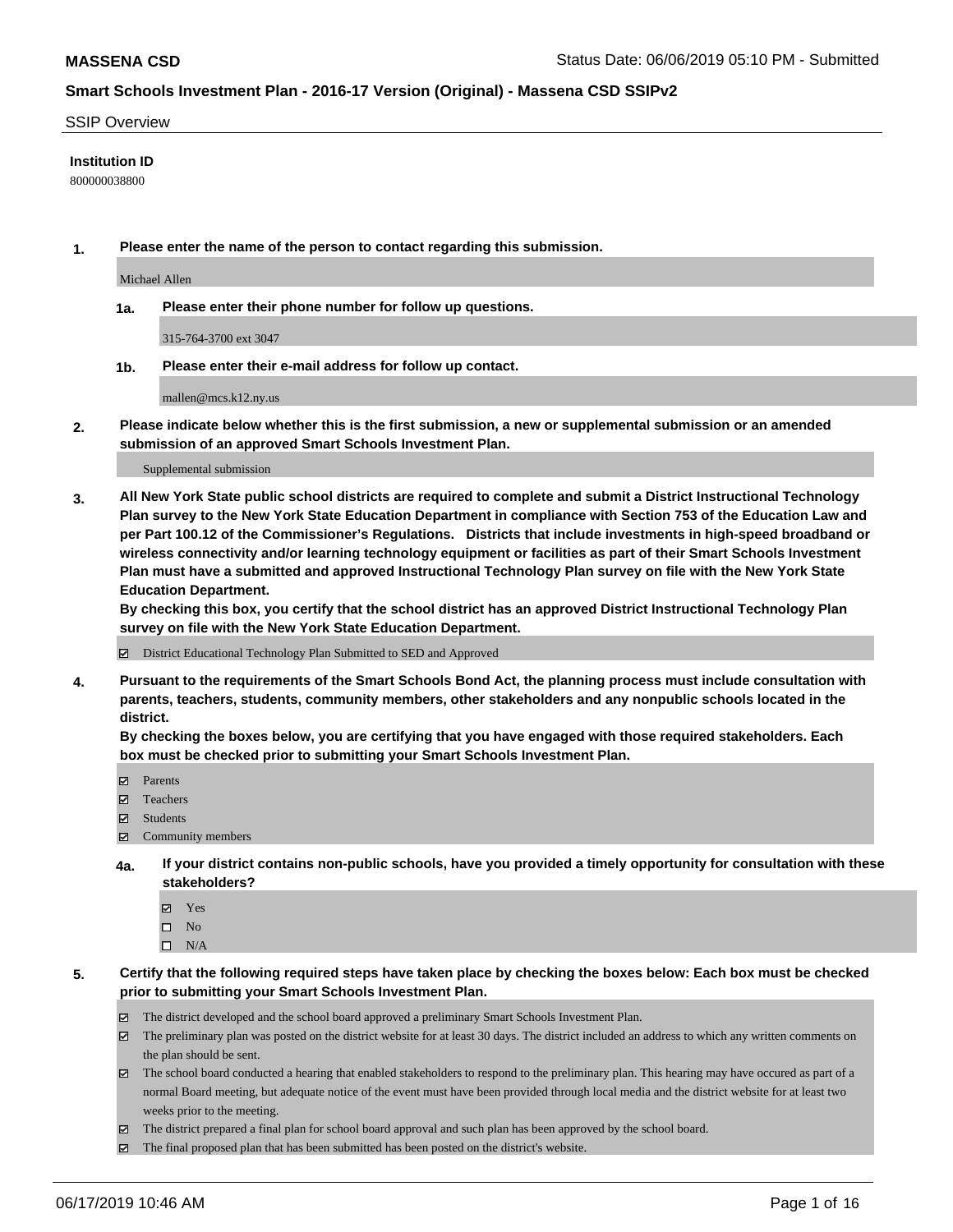#### SSIP Overview

#### **Institution ID**

800000038800

**1. Please enter the name of the person to contact regarding this submission.**

Michael Allen

**1a. Please enter their phone number for follow up questions.**

315-764-3700 ext 3047

**1b. Please enter their e-mail address for follow up contact.**

mallen@mcs.k12.ny.us

**2. Please indicate below whether this is the first submission, a new or supplemental submission or an amended submission of an approved Smart Schools Investment Plan.**

#### Supplemental submission

**3. All New York State public school districts are required to complete and submit a District Instructional Technology Plan survey to the New York State Education Department in compliance with Section 753 of the Education Law and per Part 100.12 of the Commissioner's Regulations. Districts that include investments in high-speed broadband or wireless connectivity and/or learning technology equipment or facilities as part of their Smart Schools Investment Plan must have a submitted and approved Instructional Technology Plan survey on file with the New York State Education Department.** 

**By checking this box, you certify that the school district has an approved District Instructional Technology Plan survey on file with the New York State Education Department.**

District Educational Technology Plan Submitted to SED and Approved

**4. Pursuant to the requirements of the Smart Schools Bond Act, the planning process must include consultation with parents, teachers, students, community members, other stakeholders and any nonpublic schools located in the district.** 

**By checking the boxes below, you are certifying that you have engaged with those required stakeholders. Each box must be checked prior to submitting your Smart Schools Investment Plan.**

- Parents
- Teachers
- Students
- Community members
- **4a. If your district contains non-public schools, have you provided a timely opportunity for consultation with these stakeholders?**
	- Yes
	- $\square$  No
	- $\square$  N/A
- **5. Certify that the following required steps have taken place by checking the boxes below: Each box must be checked prior to submitting your Smart Schools Investment Plan.**
	- The district developed and the school board approved a preliminary Smart Schools Investment Plan.
	- $\boxtimes$  The preliminary plan was posted on the district website for at least 30 days. The district included an address to which any written comments on the plan should be sent.
	- $\boxtimes$  The school board conducted a hearing that enabled stakeholders to respond to the preliminary plan. This hearing may have occured as part of a normal Board meeting, but adequate notice of the event must have been provided through local media and the district website for at least two weeks prior to the meeting.
	- The district prepared a final plan for school board approval and such plan has been approved by the school board.
	- $\boxtimes$  The final proposed plan that has been submitted has been posted on the district's website.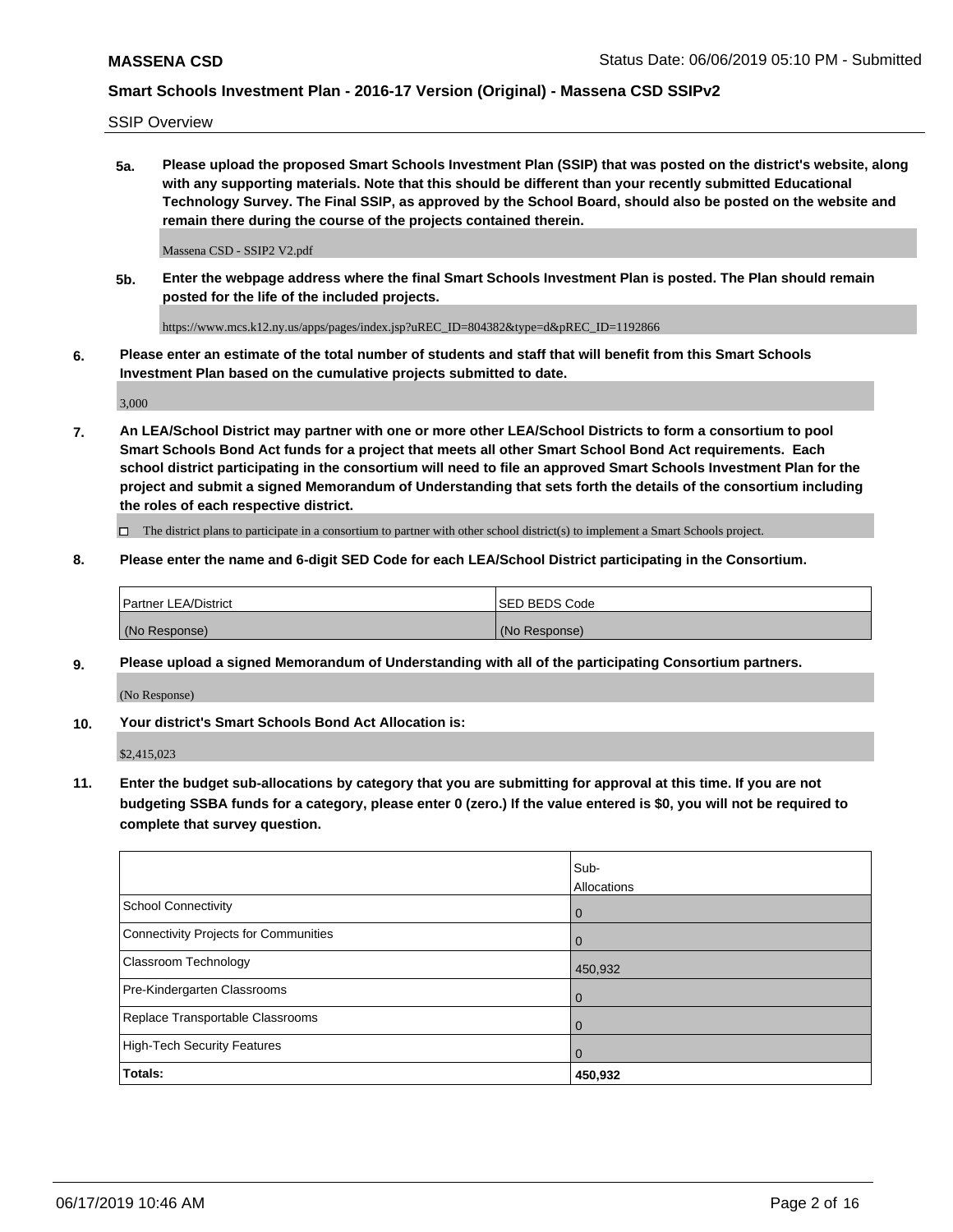SSIP Overview

**5a. Please upload the proposed Smart Schools Investment Plan (SSIP) that was posted on the district's website, along with any supporting materials. Note that this should be different than your recently submitted Educational Technology Survey. The Final SSIP, as approved by the School Board, should also be posted on the website and remain there during the course of the projects contained therein.**

Massena CSD - SSIP2 V2.pdf

**5b. Enter the webpage address where the final Smart Schools Investment Plan is posted. The Plan should remain posted for the life of the included projects.**

https://www.mcs.k12.ny.us/apps/pages/index.jsp?uREC\_ID=804382&type=d&pREC\_ID=1192866

**6. Please enter an estimate of the total number of students and staff that will benefit from this Smart Schools Investment Plan based on the cumulative projects submitted to date.**

3,000

**7. An LEA/School District may partner with one or more other LEA/School Districts to form a consortium to pool Smart Schools Bond Act funds for a project that meets all other Smart School Bond Act requirements. Each school district participating in the consortium will need to file an approved Smart Schools Investment Plan for the project and submit a signed Memorandum of Understanding that sets forth the details of the consortium including the roles of each respective district.**

 $\Box$  The district plans to participate in a consortium to partner with other school district(s) to implement a Smart Schools project.

#### **8. Please enter the name and 6-digit SED Code for each LEA/School District participating in the Consortium.**

| Partner LEA/District | <b>ISED BEDS Code</b> |
|----------------------|-----------------------|
| (No Response)        | (No Response)         |

#### **9. Please upload a signed Memorandum of Understanding with all of the participating Consortium partners.**

(No Response)

**10. Your district's Smart Schools Bond Act Allocation is:**

\$2,415,023

**11. Enter the budget sub-allocations by category that you are submitting for approval at this time. If you are not budgeting SSBA funds for a category, please enter 0 (zero.) If the value entered is \$0, you will not be required to complete that survey question.**

|                                       | Sub-<br>Allocations |
|---------------------------------------|---------------------|
| School Connectivity                   | $\overline{0}$      |
| Connectivity Projects for Communities | $\Omega$            |
| <b>Classroom Technology</b>           | 450,932             |
| Pre-Kindergarten Classrooms           | $\overline{0}$      |
| Replace Transportable Classrooms      | $\Omega$            |
| High-Tech Security Features           | $\Omega$            |
| Totals:                               | 450,932             |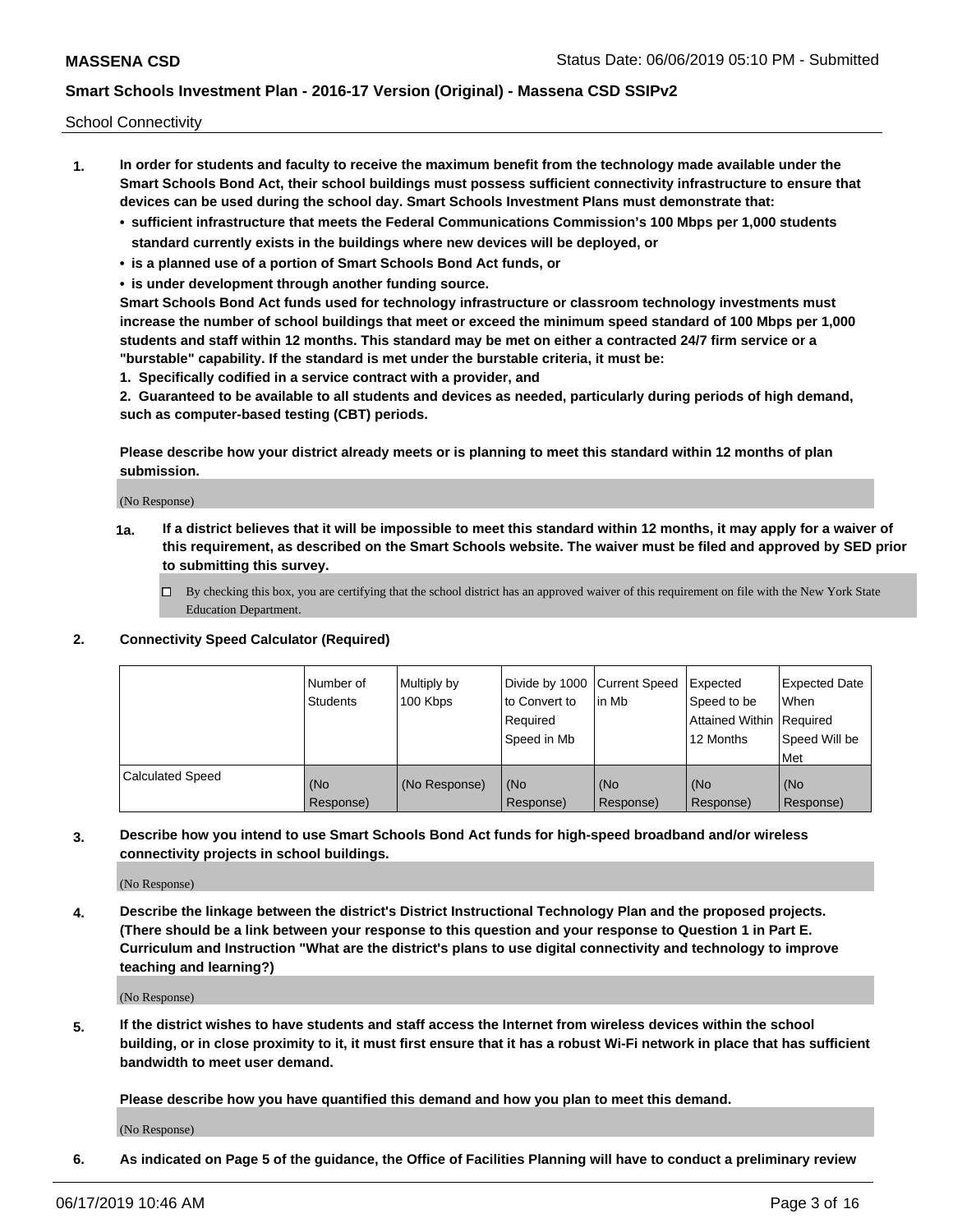School Connectivity

- **1. In order for students and faculty to receive the maximum benefit from the technology made available under the Smart Schools Bond Act, their school buildings must possess sufficient connectivity infrastructure to ensure that devices can be used during the school day. Smart Schools Investment Plans must demonstrate that:**
	- **• sufficient infrastructure that meets the Federal Communications Commission's 100 Mbps per 1,000 students standard currently exists in the buildings where new devices will be deployed, or**
	- **• is a planned use of a portion of Smart Schools Bond Act funds, or**
	- **• is under development through another funding source.**

**Smart Schools Bond Act funds used for technology infrastructure or classroom technology investments must increase the number of school buildings that meet or exceed the minimum speed standard of 100 Mbps per 1,000 students and staff within 12 months. This standard may be met on either a contracted 24/7 firm service or a "burstable" capability. If the standard is met under the burstable criteria, it must be:**

**1. Specifically codified in a service contract with a provider, and**

**2. Guaranteed to be available to all students and devices as needed, particularly during periods of high demand, such as computer-based testing (CBT) periods.**

**Please describe how your district already meets or is planning to meet this standard within 12 months of plan submission.**

(No Response)

**1a. If a district believes that it will be impossible to meet this standard within 12 months, it may apply for a waiver of this requirement, as described on the Smart Schools website. The waiver must be filed and approved by SED prior to submitting this survey.**

 $\Box$  By checking this box, you are certifying that the school district has an approved waiver of this requirement on file with the New York State Education Department.

#### **2. Connectivity Speed Calculator (Required)**

|                         | l Number of<br><b>Students</b> | Multiply by<br>100 Kbps | Divide by 1000 Current Speed<br>to Convert to<br>Required<br>l Speed in Mb | lin Mb           | Expected<br>Speed to be<br>Attained Within   Required<br>12 Months | <b>Expected Date</b><br>When<br>Speed Will be<br>Met |
|-------------------------|--------------------------------|-------------------------|----------------------------------------------------------------------------|------------------|--------------------------------------------------------------------|------------------------------------------------------|
| <b>Calculated Speed</b> | (No<br>Response)               | (No Response)           | (No<br>Response)                                                           | (No<br>Response) | (No<br>Response)                                                   | (No<br>Response)                                     |

**3. Describe how you intend to use Smart Schools Bond Act funds for high-speed broadband and/or wireless connectivity projects in school buildings.**

(No Response)

**4. Describe the linkage between the district's District Instructional Technology Plan and the proposed projects. (There should be a link between your response to this question and your response to Question 1 in Part E. Curriculum and Instruction "What are the district's plans to use digital connectivity and technology to improve teaching and learning?)**

(No Response)

**5. If the district wishes to have students and staff access the Internet from wireless devices within the school building, or in close proximity to it, it must first ensure that it has a robust Wi-Fi network in place that has sufficient bandwidth to meet user demand.**

**Please describe how you have quantified this demand and how you plan to meet this demand.**

(No Response)

**6. As indicated on Page 5 of the guidance, the Office of Facilities Planning will have to conduct a preliminary review**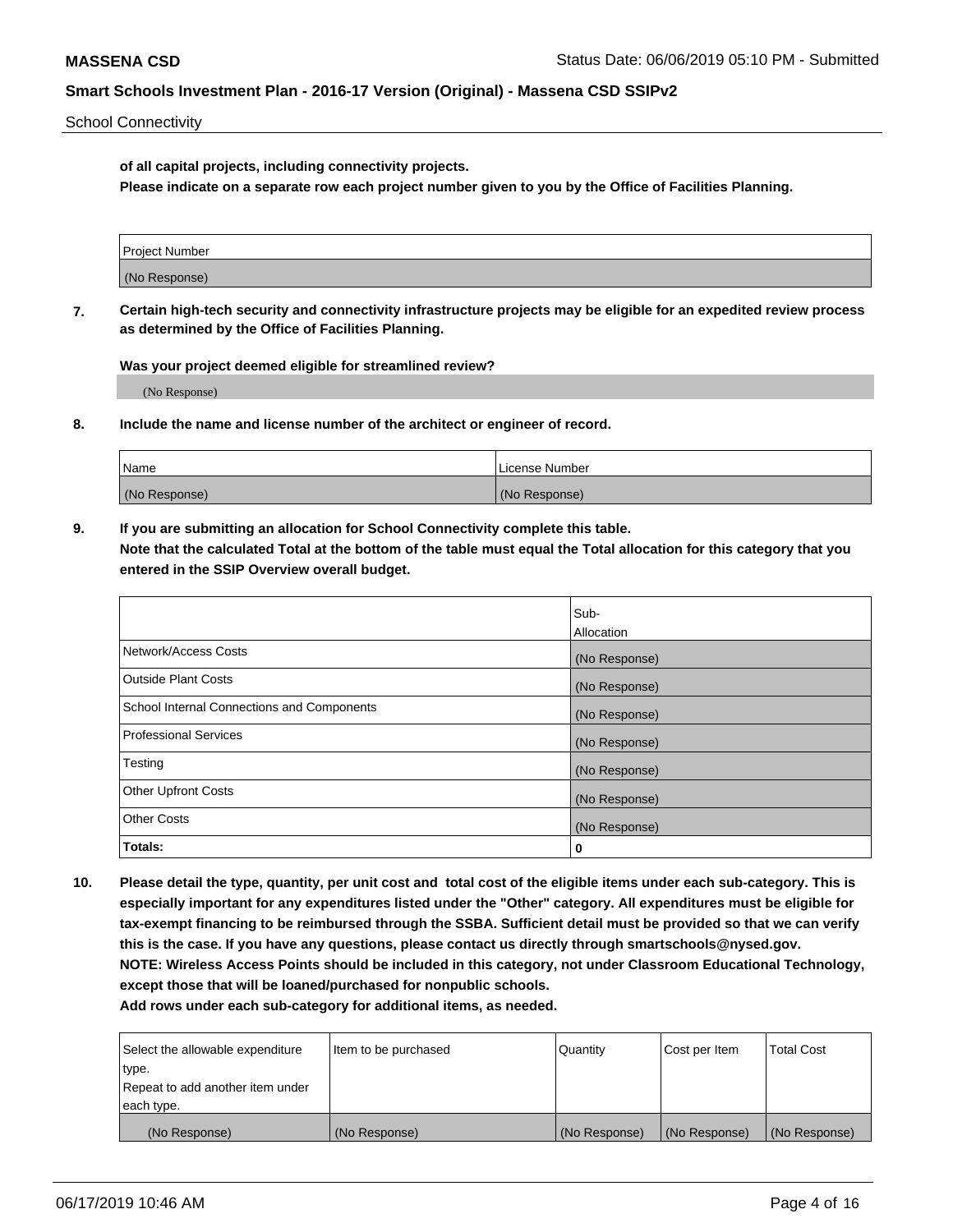School Connectivity

**of all capital projects, including connectivity projects.**

**Please indicate on a separate row each project number given to you by the Office of Facilities Planning.**

| Project Number |  |
|----------------|--|
|                |  |
| (No Response)  |  |
|                |  |

**7. Certain high-tech security and connectivity infrastructure projects may be eligible for an expedited review process as determined by the Office of Facilities Planning.**

**Was your project deemed eligible for streamlined review?**

(No Response)

**8. Include the name and license number of the architect or engineer of record.**

| Name          | License Number |
|---------------|----------------|
| (No Response) | (No Response)  |

**9. If you are submitting an allocation for School Connectivity complete this table. Note that the calculated Total at the bottom of the table must equal the Total allocation for this category that you entered in the SSIP Overview overall budget.** 

|                                            | Sub-              |
|--------------------------------------------|-------------------|
|                                            | <b>Allocation</b> |
| Network/Access Costs                       | (No Response)     |
| <b>Outside Plant Costs</b>                 | (No Response)     |
| School Internal Connections and Components | (No Response)     |
| <b>Professional Services</b>               | (No Response)     |
| Testing                                    | (No Response)     |
| <b>Other Upfront Costs</b>                 | (No Response)     |
| <b>Other Costs</b>                         | (No Response)     |
| Totals:                                    | 0                 |

**10. Please detail the type, quantity, per unit cost and total cost of the eligible items under each sub-category. This is especially important for any expenditures listed under the "Other" category. All expenditures must be eligible for tax-exempt financing to be reimbursed through the SSBA. Sufficient detail must be provided so that we can verify this is the case. If you have any questions, please contact us directly through smartschools@nysed.gov. NOTE: Wireless Access Points should be included in this category, not under Classroom Educational Technology, except those that will be loaned/purchased for nonpublic schools.**

| Select the allowable expenditure | Item to be purchased | Quantity      | <b>Cost per Item</b> | <b>Total Cost</b> |
|----------------------------------|----------------------|---------------|----------------------|-------------------|
| type.                            |                      |               |                      |                   |
| Repeat to add another item under |                      |               |                      |                   |
| each type.                       |                      |               |                      |                   |
| (No Response)                    | (No Response)        | (No Response) | (No Response)        | (No Response)     |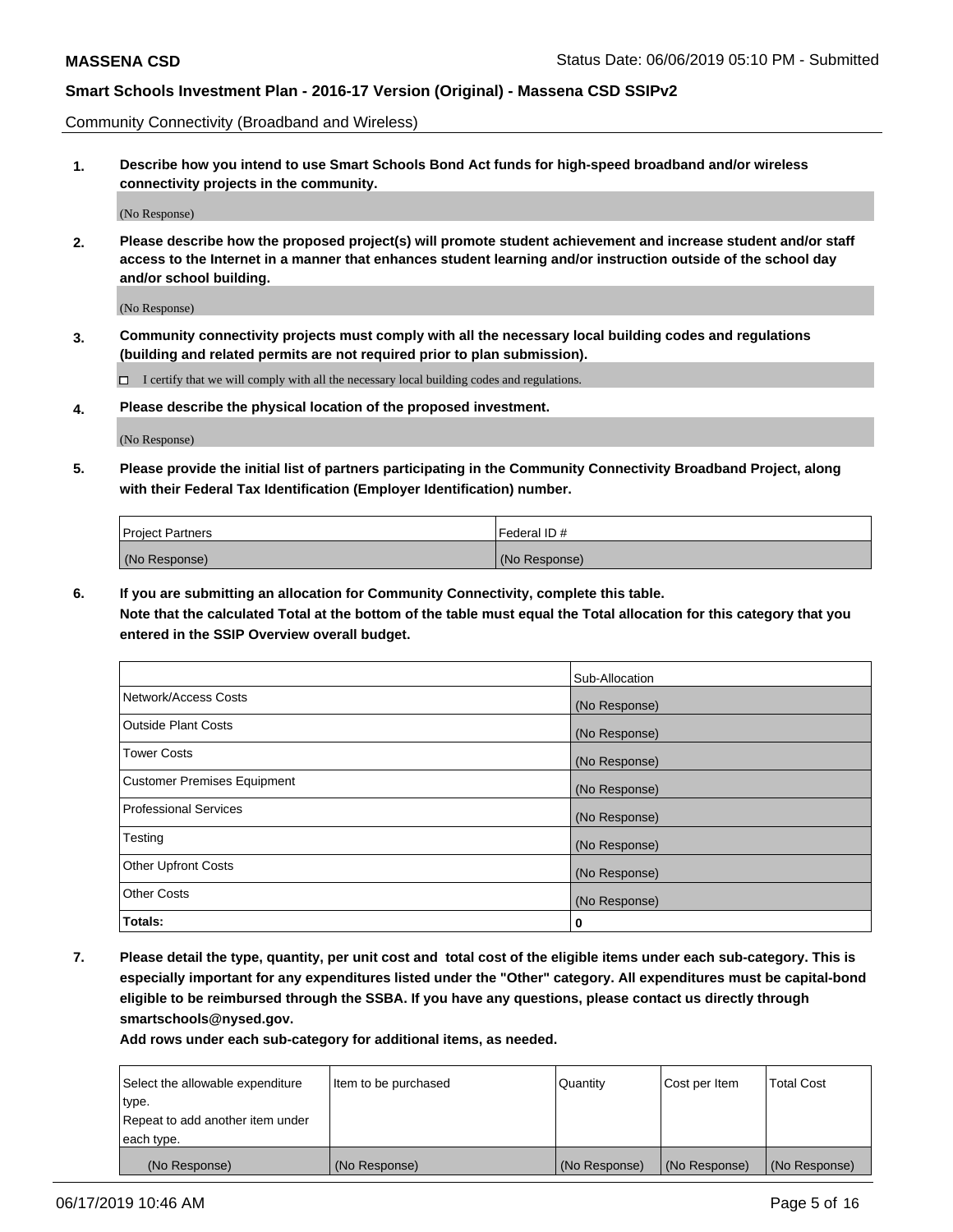Community Connectivity (Broadband and Wireless)

**1. Describe how you intend to use Smart Schools Bond Act funds for high-speed broadband and/or wireless connectivity projects in the community.**

(No Response)

**2. Please describe how the proposed project(s) will promote student achievement and increase student and/or staff access to the Internet in a manner that enhances student learning and/or instruction outside of the school day and/or school building.**

(No Response)

**3. Community connectivity projects must comply with all the necessary local building codes and regulations (building and related permits are not required prior to plan submission).**

 $\Box$  I certify that we will comply with all the necessary local building codes and regulations.

**4. Please describe the physical location of the proposed investment.**

(No Response)

**5. Please provide the initial list of partners participating in the Community Connectivity Broadband Project, along with their Federal Tax Identification (Employer Identification) number.**

| <b>Project Partners</b> | Federal ID#   |
|-------------------------|---------------|
| (No Response)           | (No Response) |

**6. If you are submitting an allocation for Community Connectivity, complete this table.**

**Note that the calculated Total at the bottom of the table must equal the Total allocation for this category that you entered in the SSIP Overview overall budget.**

|                                    | Sub-Allocation |
|------------------------------------|----------------|
| Network/Access Costs               | (No Response)  |
| <b>Outside Plant Costs</b>         | (No Response)  |
| <b>Tower Costs</b>                 | (No Response)  |
| <b>Customer Premises Equipment</b> | (No Response)  |
| <b>Professional Services</b>       | (No Response)  |
| Testing                            | (No Response)  |
| <b>Other Upfront Costs</b>         | (No Response)  |
| <b>Other Costs</b>                 | (No Response)  |
| Totals:                            | 0              |

**7. Please detail the type, quantity, per unit cost and total cost of the eligible items under each sub-category. This is especially important for any expenditures listed under the "Other" category. All expenditures must be capital-bond eligible to be reimbursed through the SSBA. If you have any questions, please contact us directly through smartschools@nysed.gov.**

| Select the allowable expenditure | Item to be purchased | Quantity      | Cost per Item | <b>Total Cost</b> |
|----------------------------------|----------------------|---------------|---------------|-------------------|
| type.                            |                      |               |               |                   |
| Repeat to add another item under |                      |               |               |                   |
| each type.                       |                      |               |               |                   |
| (No Response)                    | (No Response)        | (No Response) | (No Response) | (No Response)     |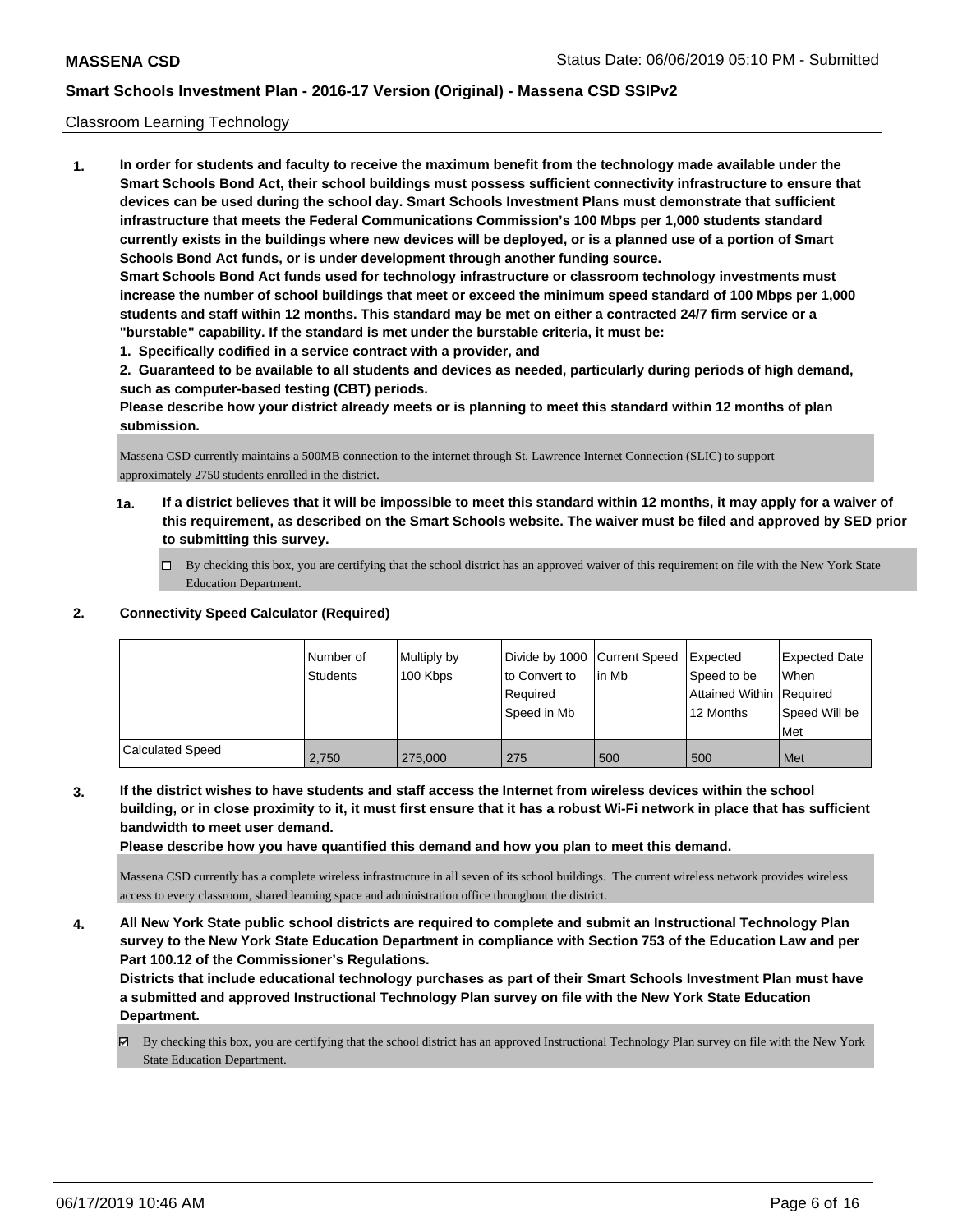#### Classroom Learning Technology

**1. In order for students and faculty to receive the maximum benefit from the technology made available under the Smart Schools Bond Act, their school buildings must possess sufficient connectivity infrastructure to ensure that devices can be used during the school day. Smart Schools Investment Plans must demonstrate that sufficient infrastructure that meets the Federal Communications Commission's 100 Mbps per 1,000 students standard currently exists in the buildings where new devices will be deployed, or is a planned use of a portion of Smart Schools Bond Act funds, or is under development through another funding source. Smart Schools Bond Act funds used for technology infrastructure or classroom technology investments must increase the number of school buildings that meet or exceed the minimum speed standard of 100 Mbps per 1,000 students and staff within 12 months. This standard may be met on either a contracted 24/7 firm service or a "burstable" capability. If the standard is met under the burstable criteria, it must be:**

**1. Specifically codified in a service contract with a provider, and**

**2. Guaranteed to be available to all students and devices as needed, particularly during periods of high demand, such as computer-based testing (CBT) periods.**

**Please describe how your district already meets or is planning to meet this standard within 12 months of plan submission.**

Massena CSD currently maintains a 500MB connection to the internet through St. Lawrence Internet Connection (SLIC) to support approximately 2750 students enrolled in the district.

- **1a. If a district believes that it will be impossible to meet this standard within 12 months, it may apply for a waiver of this requirement, as described on the Smart Schools website. The waiver must be filed and approved by SED prior to submitting this survey.**
	- By checking this box, you are certifying that the school district has an approved waiver of this requirement on file with the New York State Education Department.

### **2. Connectivity Speed Calculator (Required)**

|                         | l Number of<br><b>Students</b> | Multiply by<br>100 Kbps | Divide by 1000 Current Speed<br>to Convert to<br>Required<br>Speed in Mb | lin Mb | Expected<br>Speed to be<br>Attained Within Required<br>12 Months | <b>Expected Date</b><br>When<br>Speed Will be<br>Met |
|-------------------------|--------------------------------|-------------------------|--------------------------------------------------------------------------|--------|------------------------------------------------------------------|------------------------------------------------------|
| <b>Calculated Speed</b> | 2.750                          | 275,000                 | 275                                                                      | 500    | 500                                                              | Met                                                  |

**3. If the district wishes to have students and staff access the Internet from wireless devices within the school building, or in close proximity to it, it must first ensure that it has a robust Wi-Fi network in place that has sufficient bandwidth to meet user demand.**

**Please describe how you have quantified this demand and how you plan to meet this demand.**

Massena CSD currently has a complete wireless infrastructure in all seven of its school buildings. The current wireless network provides wireless access to every classroom, shared learning space and administration office throughout the district.

**4. All New York State public school districts are required to complete and submit an Instructional Technology Plan survey to the New York State Education Department in compliance with Section 753 of the Education Law and per Part 100.12 of the Commissioner's Regulations.**

**Districts that include educational technology purchases as part of their Smart Schools Investment Plan must have a submitted and approved Instructional Technology Plan survey on file with the New York State Education Department.**

By checking this box, you are certifying that the school district has an approved Instructional Technology Plan survey on file with the New York State Education Department.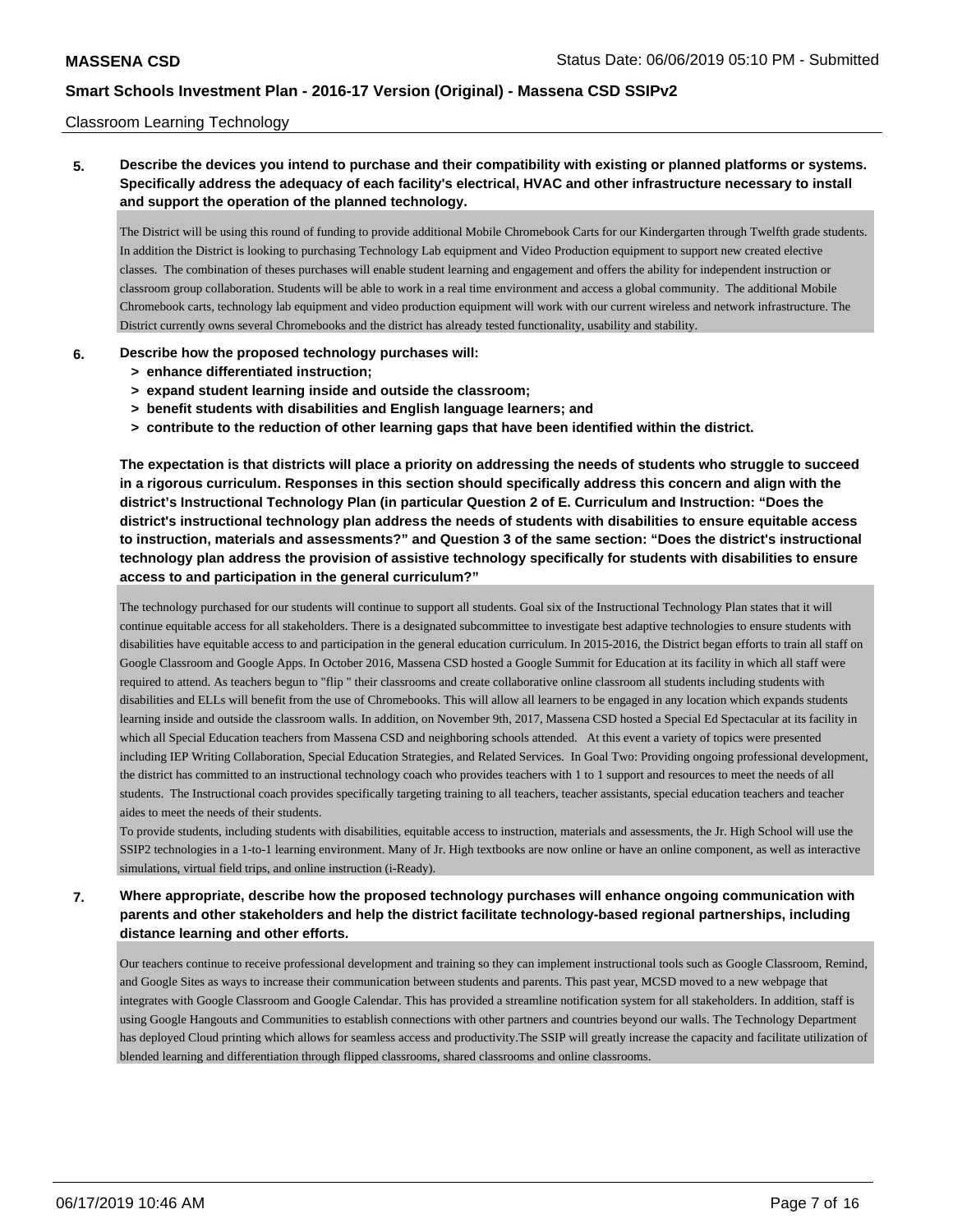#### Classroom Learning Technology

## **5. Describe the devices you intend to purchase and their compatibility with existing or planned platforms or systems. Specifically address the adequacy of each facility's electrical, HVAC and other infrastructure necessary to install and support the operation of the planned technology.**

The District will be using this round of funding to provide additional Mobile Chromebook Carts for our Kindergarten through Twelfth grade students. In addition the District is looking to purchasing Technology Lab equipment and Video Production equipment to support new created elective classes. The combination of theses purchases will enable student learning and engagement and offers the ability for independent instruction or classroom group collaboration. Students will be able to work in a real time environment and access a global community. The additional Mobile Chromebook carts, technology lab equipment and video production equipment will work with our current wireless and network infrastructure. The District currently owns several Chromebooks and the district has already tested functionality, usability and stability.

#### **6. Describe how the proposed technology purchases will:**

- **> enhance differentiated instruction;**
- **> expand student learning inside and outside the classroom;**
- **> benefit students with disabilities and English language learners; and**
- **> contribute to the reduction of other learning gaps that have been identified within the district.**

**The expectation is that districts will place a priority on addressing the needs of students who struggle to succeed in a rigorous curriculum. Responses in this section should specifically address this concern and align with the district's Instructional Technology Plan (in particular Question 2 of E. Curriculum and Instruction: "Does the district's instructional technology plan address the needs of students with disabilities to ensure equitable access to instruction, materials and assessments?" and Question 3 of the same section: "Does the district's instructional technology plan address the provision of assistive technology specifically for students with disabilities to ensure access to and participation in the general curriculum?"**

The technology purchased for our students will continue to support all students. Goal six of the Instructional Technology Plan states that it will continue equitable access for all stakeholders. There is a designated subcommittee to investigate best adaptive technologies to ensure students with disabilities have equitable access to and participation in the general education curriculum. In 2015-2016, the District began efforts to train all staff on Google Classroom and Google Apps. In October 2016, Massena CSD hosted a Google Summit for Education at its facility in which all staff were required to attend. As teachers begun to "flip " their classrooms and create collaborative online classroom all students including students with disabilities and ELLs will benefit from the use of Chromebooks. This will allow all learners to be engaged in any location which expands students learning inside and outside the classroom walls. In addition, on November 9th, 2017, Massena CSD hosted a Special Ed Spectacular at its facility in which all Special Education teachers from Massena CSD and neighboring schools attended. At this event a variety of topics were presented including IEP Writing Collaboration, Special Education Strategies, and Related Services. In Goal Two: Providing ongoing professional development, the district has committed to an instructional technology coach who provides teachers with 1 to 1 support and resources to meet the needs of all students. The Instructional coach provides specifically targeting training to all teachers, teacher assistants, special education teachers and teacher aides to meet the needs of their students.

To provide students, including students with disabilities, equitable access to instruction, materials and assessments, the Jr. High School will use the SSIP2 technologies in a 1-to-1 learning environment. Many of Jr. High textbooks are now online or have an online component, as well as interactive simulations, virtual field trips, and online instruction (i-Ready).

## **7. Where appropriate, describe how the proposed technology purchases will enhance ongoing communication with parents and other stakeholders and help the district facilitate technology-based regional partnerships, including distance learning and other efforts.**

Our teachers continue to receive professional development and training so they can implement instructional tools such as Google Classroom, Remind, and Google Sites as ways to increase their communication between students and parents. This past year, MCSD moved to a new webpage that integrates with Google Classroom and Google Calendar. This has provided a streamline notification system for all stakeholders. In addition, staff is using Google Hangouts and Communities to establish connections with other partners and countries beyond our walls. The Technology Department has deployed Cloud printing which allows for seamless access and productivity.The SSIP will greatly increase the capacity and facilitate utilization of blended learning and differentiation through flipped classrooms, shared classrooms and online classrooms.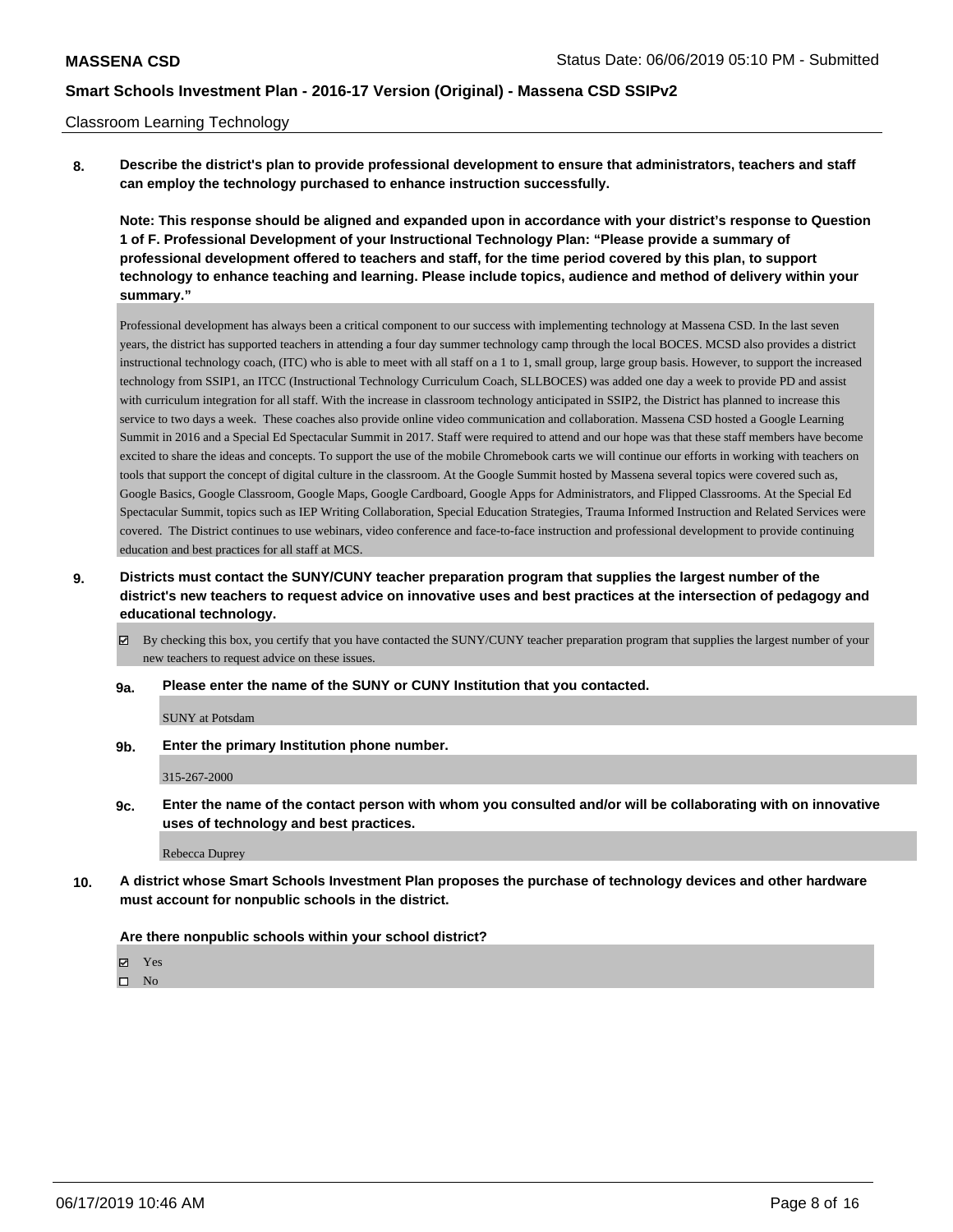#### Classroom Learning Technology

**8. Describe the district's plan to provide professional development to ensure that administrators, teachers and staff can employ the technology purchased to enhance instruction successfully.**

**Note: This response should be aligned and expanded upon in accordance with your district's response to Question 1 of F. Professional Development of your Instructional Technology Plan: "Please provide a summary of professional development offered to teachers and staff, for the time period covered by this plan, to support technology to enhance teaching and learning. Please include topics, audience and method of delivery within your summary."**

Professional development has always been a critical component to our success with implementing technology at Massena CSD. In the last seven years, the district has supported teachers in attending a four day summer technology camp through the local BOCES. MCSD also provides a district instructional technology coach, (ITC) who is able to meet with all staff on a 1 to 1, small group, large group basis. However, to support the increased technology from SSIP1, an ITCC (Instructional Technology Curriculum Coach, SLLBOCES) was added one day a week to provide PD and assist with curriculum integration for all staff. With the increase in classroom technology anticipated in SSIP2, the District has planned to increase this service to two days a week. These coaches also provide online video communication and collaboration. Massena CSD hosted a Google Learning Summit in 2016 and a Special Ed Spectacular Summit in 2017. Staff were required to attend and our hope was that these staff members have become excited to share the ideas and concepts. To support the use of the mobile Chromebook carts we will continue our efforts in working with teachers on tools that support the concept of digital culture in the classroom. At the Google Summit hosted by Massena several topics were covered such as, Google Basics, Google Classroom, Google Maps, Google Cardboard, Google Apps for Administrators, and Flipped Classrooms. At the Special Ed Spectacular Summit, topics such as IEP Writing Collaboration, Special Education Strategies, Trauma Informed Instruction and Related Services were covered. The District continues to use webinars, video conference and face-to-face instruction and professional development to provide continuing education and best practices for all staff at MCS.

- **9. Districts must contact the SUNY/CUNY teacher preparation program that supplies the largest number of the district's new teachers to request advice on innovative uses and best practices at the intersection of pedagogy and educational technology.**
	- By checking this box, you certify that you have contacted the SUNY/CUNY teacher preparation program that supplies the largest number of your new teachers to request advice on these issues.
	- **9a. Please enter the name of the SUNY or CUNY Institution that you contacted.**

SUNY at Potsdam

**9b. Enter the primary Institution phone number.**

#### 315-267-2000

**9c. Enter the name of the contact person with whom you consulted and/or will be collaborating with on innovative uses of technology and best practices.**

Rebecca Duprey

**10. A district whose Smart Schools Investment Plan proposes the purchase of technology devices and other hardware must account for nonpublic schools in the district.**

#### **Are there nonpublic schools within your school district?**

**冈** Yes

 $\hfill \square$  No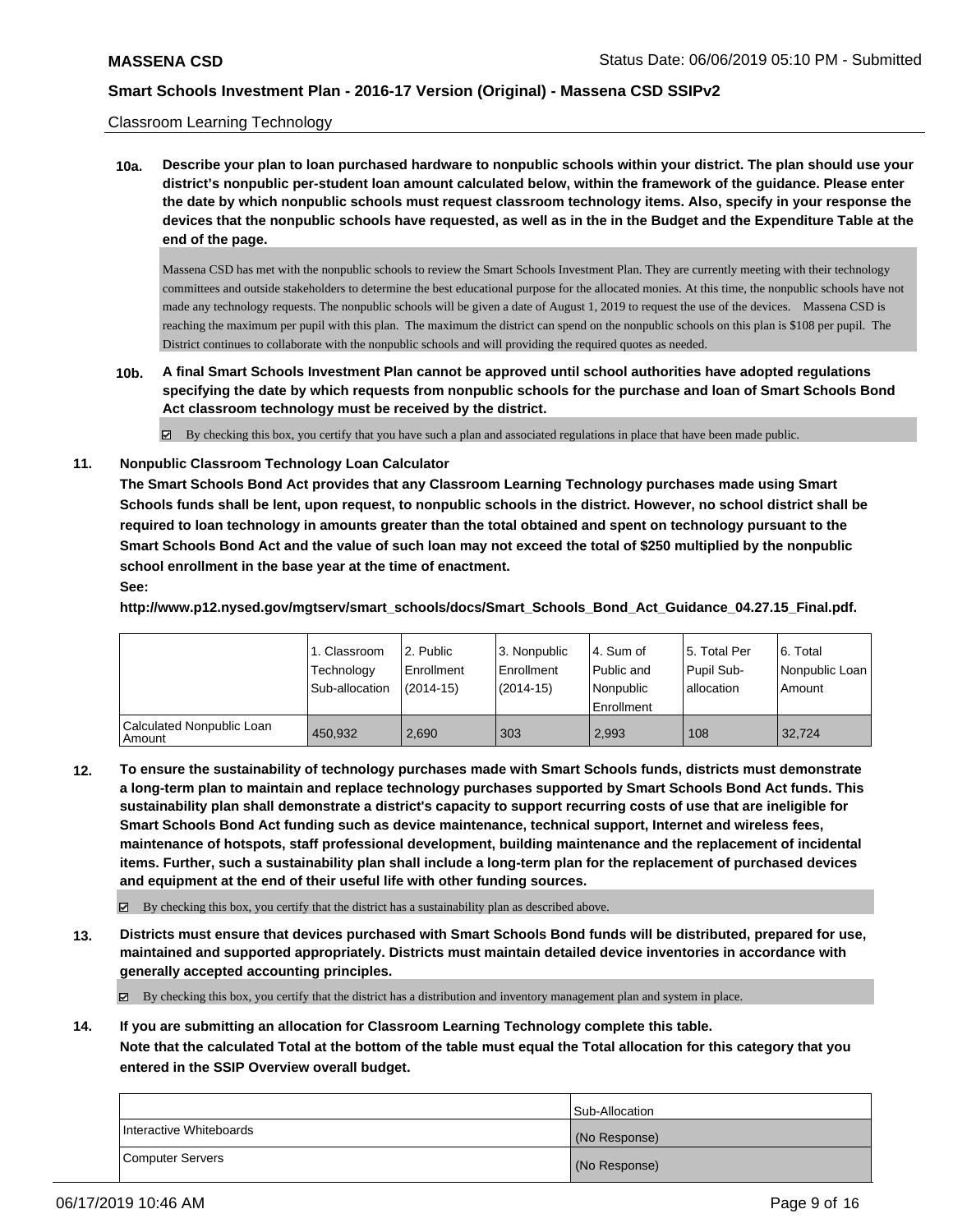#### Classroom Learning Technology

**10a. Describe your plan to loan purchased hardware to nonpublic schools within your district. The plan should use your district's nonpublic per-student loan amount calculated below, within the framework of the guidance. Please enter the date by which nonpublic schools must request classroom technology items. Also, specify in your response the devices that the nonpublic schools have requested, as well as in the in the Budget and the Expenditure Table at the end of the page.**

Massena CSD has met with the nonpublic schools to review the Smart Schools Investment Plan. They are currently meeting with their technology committees and outside stakeholders to determine the best educational purpose for the allocated monies. At this time, the nonpublic schools have not made any technology requests. The nonpublic schools will be given a date of August 1, 2019 to request the use of the devices. Massena CSD is reaching the maximum per pupil with this plan. The maximum the district can spend on the nonpublic schools on this plan is \$108 per pupil. The District continues to collaborate with the nonpublic schools and will providing the required quotes as needed.

**10b. A final Smart Schools Investment Plan cannot be approved until school authorities have adopted regulations specifying the date by which requests from nonpublic schools for the purchase and loan of Smart Schools Bond Act classroom technology must be received by the district.**

By checking this box, you certify that you have such a plan and associated regulations in place that have been made public.

**11. Nonpublic Classroom Technology Loan Calculator**

**The Smart Schools Bond Act provides that any Classroom Learning Technology purchases made using Smart Schools funds shall be lent, upon request, to nonpublic schools in the district. However, no school district shall be required to loan technology in amounts greater than the total obtained and spent on technology pursuant to the Smart Schools Bond Act and the value of such loan may not exceed the total of \$250 multiplied by the nonpublic school enrollment in the base year at the time of enactment.**

### **See:**

**http://www.p12.nysed.gov/mgtserv/smart\_schools/docs/Smart\_Schools\_Bond\_Act\_Guidance\_04.27.15\_Final.pdf.**

|                                       | 1. Classroom<br>Technology<br>Sub-allocation | l 2. Public<br>l Enrollment<br>$(2014 - 15)$ | l 3. Nonpublic<br>Enrollment<br>$(2014-15)$ | 4. Sum of<br>Public and<br>l Nonpublic<br>Enrollment | 15. Total Per<br>Pupil Sub-<br>allocation | l 6. Total<br>Nonpublic Loan<br>Amount |
|---------------------------------------|----------------------------------------------|----------------------------------------------|---------------------------------------------|------------------------------------------------------|-------------------------------------------|----------------------------------------|
| Calculated Nonpublic Loan<br>l Amount | 450.932                                      | 2.690                                        | 303                                         | 2,993                                                | 108                                       | 32.724                                 |

**12. To ensure the sustainability of technology purchases made with Smart Schools funds, districts must demonstrate a long-term plan to maintain and replace technology purchases supported by Smart Schools Bond Act funds. This sustainability plan shall demonstrate a district's capacity to support recurring costs of use that are ineligible for Smart Schools Bond Act funding such as device maintenance, technical support, Internet and wireless fees, maintenance of hotspots, staff professional development, building maintenance and the replacement of incidental items. Further, such a sustainability plan shall include a long-term plan for the replacement of purchased devices and equipment at the end of their useful life with other funding sources.**

By checking this box, you certify that the district has a sustainability plan as described above.

**13. Districts must ensure that devices purchased with Smart Schools Bond funds will be distributed, prepared for use, maintained and supported appropriately. Districts must maintain detailed device inventories in accordance with generally accepted accounting principles.**

By checking this box, you certify that the district has a distribution and inventory management plan and system in place.

**14. If you are submitting an allocation for Classroom Learning Technology complete this table.**

**Note that the calculated Total at the bottom of the table must equal the Total allocation for this category that you entered in the SSIP Overview overall budget.**

|                         | <b>Sub-Allocation</b> |
|-------------------------|-----------------------|
| Interactive Whiteboards | (No Response)         |
| Computer Servers        | (No Response)         |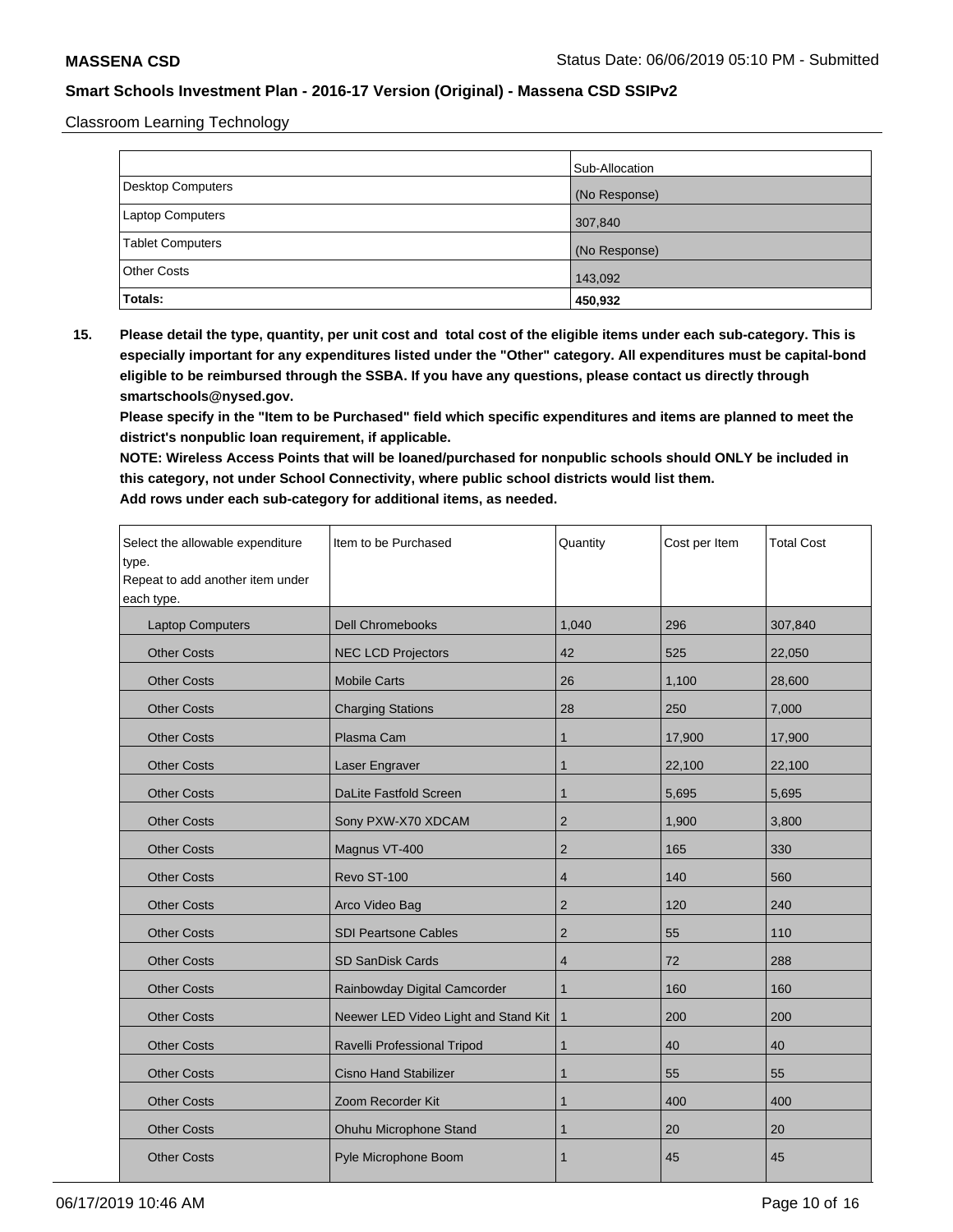Classroom Learning Technology

|                         | Sub-Allocation |
|-------------------------|----------------|
| Desktop Computers       | (No Response)  |
| <b>Laptop Computers</b> | 307,840        |
| <b>Tablet Computers</b> | (No Response)  |
| <b>Other Costs</b>      | 143,092        |
| Totals:                 | 450,932        |

**15. Please detail the type, quantity, per unit cost and total cost of the eligible items under each sub-category. This is especially important for any expenditures listed under the "Other" category. All expenditures must be capital-bond eligible to be reimbursed through the SSBA. If you have any questions, please contact us directly through smartschools@nysed.gov.**

**Please specify in the "Item to be Purchased" field which specific expenditures and items are planned to meet the district's nonpublic loan requirement, if applicable.**

**NOTE: Wireless Access Points that will be loaned/purchased for nonpublic schools should ONLY be included in this category, not under School Connectivity, where public school districts would list them. Add rows under each sub-category for additional items, as needed.**

| Select the allowable expenditure<br>type.<br>Repeat to add another item under<br>each type. | Item to be Purchased                 | Quantity       | Cost per Item | <b>Total Cost</b> |
|---------------------------------------------------------------------------------------------|--------------------------------------|----------------|---------------|-------------------|
| <b>Laptop Computers</b>                                                                     | <b>Dell Chromebooks</b>              | 1,040          | 296           | 307,840           |
| <b>Other Costs</b>                                                                          | <b>NEC LCD Projectors</b>            | 42             | 525           | 22,050            |
| <b>Other Costs</b>                                                                          | <b>Mobile Carts</b>                  | 26             | 1,100         | 28,600            |
| <b>Other Costs</b>                                                                          | <b>Charging Stations</b>             | 28             | 250           | 7,000             |
| <b>Other Costs</b>                                                                          | Plasma Cam                           | 1              | 17,900        | 17,900            |
| <b>Other Costs</b>                                                                          | Laser Engraver                       | $\mathbf{1}$   | 22,100        | 22,100            |
| <b>Other Costs</b>                                                                          | DaLite Fastfold Screen               | 1              | 5,695         | 5,695             |
| <b>Other Costs</b>                                                                          | Sony PXW-X70 XDCAM                   | $\overline{2}$ | 1,900         | 3,800             |
| <b>Other Costs</b>                                                                          | Magnus VT-400                        | $\overline{2}$ | 165           | 330               |
| <b>Other Costs</b>                                                                          | Revo ST-100                          | 4              | 140           | 560               |
| <b>Other Costs</b>                                                                          | Arco Video Bag                       | 2              | 120           | 240               |
| <b>Other Costs</b>                                                                          | <b>SDI Peartsone Cables</b>          | $\overline{2}$ | 55            | 110               |
| <b>Other Costs</b>                                                                          | <b>SD SanDisk Cards</b>              | 4              | 72            | 288               |
| <b>Other Costs</b>                                                                          | Rainbowday Digital Camcorder         | $\mathbf{1}$   | 160           | 160               |
| <b>Other Costs</b>                                                                          | Neewer LED Video Light and Stand Kit | $\mathbf{1}$   | 200           | 200               |
| <b>Other Costs</b>                                                                          | Ravelli Professional Tripod          | 1              | 40            | 40                |
| <b>Other Costs</b>                                                                          | <b>Cisno Hand Stabilizer</b>         | $\mathbf{1}$   | 55            | 55                |
| <b>Other Costs</b>                                                                          | Zoom Recorder Kit                    | $\mathbf 1$    | 400           | 400               |
| <b>Other Costs</b>                                                                          | Ohuhu Microphone Stand               | 1              | 20            | 20                |
| <b>Other Costs</b>                                                                          | Pyle Microphone Boom                 | 1              | 45            | 45                |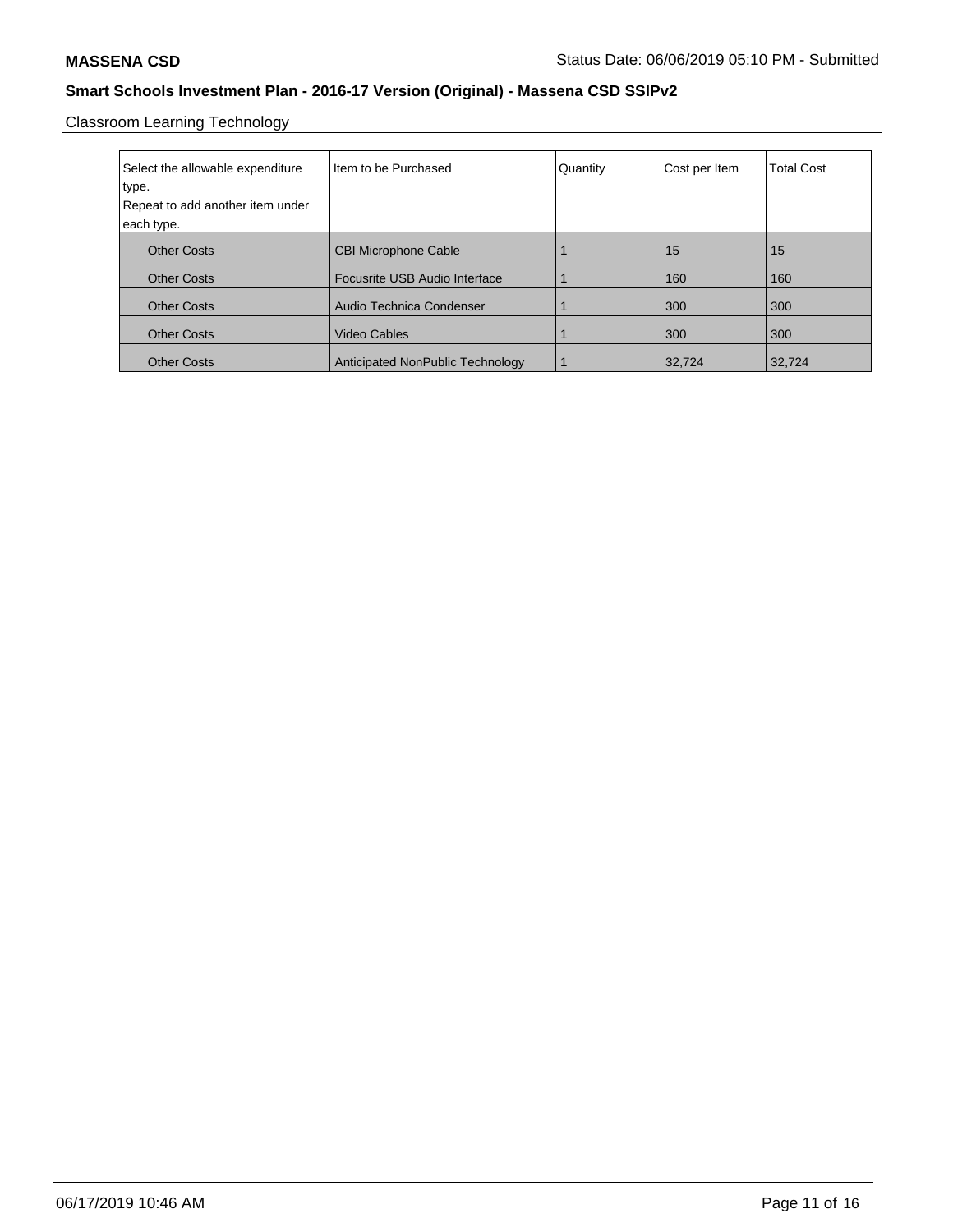Classroom Learning Technology

| Select the allowable expenditure<br>type.<br>Repeat to add another item under<br>each type. | Iltem to be Purchased            | Quantity | Cost per Item | <b>Total Cost</b> |
|---------------------------------------------------------------------------------------------|----------------------------------|----------|---------------|-------------------|
| <b>Other Costs</b>                                                                          | <b>CBI Microphone Cable</b>      |          | 15            | 15                |
| <b>Other Costs</b>                                                                          | Focusrite USB Audio Interface    |          | 160           | 160               |
| <b>Other Costs</b>                                                                          | Audio Technica Condenser         |          | 300           | 300               |
| <b>Other Costs</b>                                                                          | <b>Video Cables</b>              |          | 300           | 300               |
| <b>Other Costs</b>                                                                          | Anticipated NonPublic Technology |          | 32,724        | 32,724            |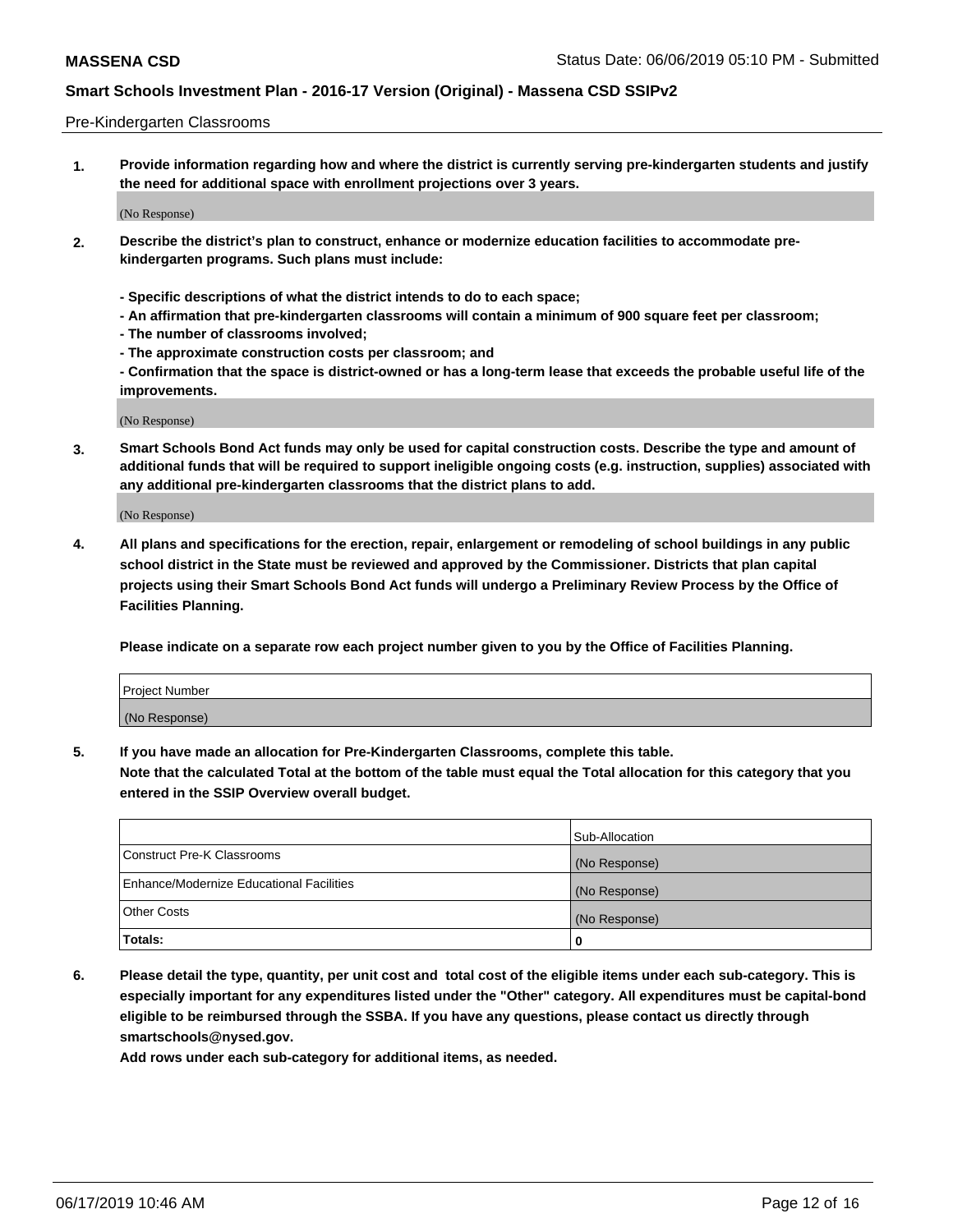#### Pre-Kindergarten Classrooms

**1. Provide information regarding how and where the district is currently serving pre-kindergarten students and justify the need for additional space with enrollment projections over 3 years.**

(No Response)

- **2. Describe the district's plan to construct, enhance or modernize education facilities to accommodate prekindergarten programs. Such plans must include:**
	- **Specific descriptions of what the district intends to do to each space;**
	- **An affirmation that pre-kindergarten classrooms will contain a minimum of 900 square feet per classroom;**
	- **The number of classrooms involved;**
	- **The approximate construction costs per classroom; and**
	- **Confirmation that the space is district-owned or has a long-term lease that exceeds the probable useful life of the improvements.**

(No Response)

**3. Smart Schools Bond Act funds may only be used for capital construction costs. Describe the type and amount of additional funds that will be required to support ineligible ongoing costs (e.g. instruction, supplies) associated with any additional pre-kindergarten classrooms that the district plans to add.**

(No Response)

**4. All plans and specifications for the erection, repair, enlargement or remodeling of school buildings in any public school district in the State must be reviewed and approved by the Commissioner. Districts that plan capital projects using their Smart Schools Bond Act funds will undergo a Preliminary Review Process by the Office of Facilities Planning.**

**Please indicate on a separate row each project number given to you by the Office of Facilities Planning.**

| Project Number |  |
|----------------|--|
| (No Response)  |  |
|                |  |

**5. If you have made an allocation for Pre-Kindergarten Classrooms, complete this table.**

**Note that the calculated Total at the bottom of the table must equal the Total allocation for this category that you entered in the SSIP Overview overall budget.**

|                                          | Sub-Allocation |
|------------------------------------------|----------------|
| Construct Pre-K Classrooms               | (No Response)  |
| Enhance/Modernize Educational Facilities | (No Response)  |
| <b>Other Costs</b>                       | (No Response)  |
| Totals:                                  | 0              |

**6. Please detail the type, quantity, per unit cost and total cost of the eligible items under each sub-category. This is especially important for any expenditures listed under the "Other" category. All expenditures must be capital-bond eligible to be reimbursed through the SSBA. If you have any questions, please contact us directly through smartschools@nysed.gov.**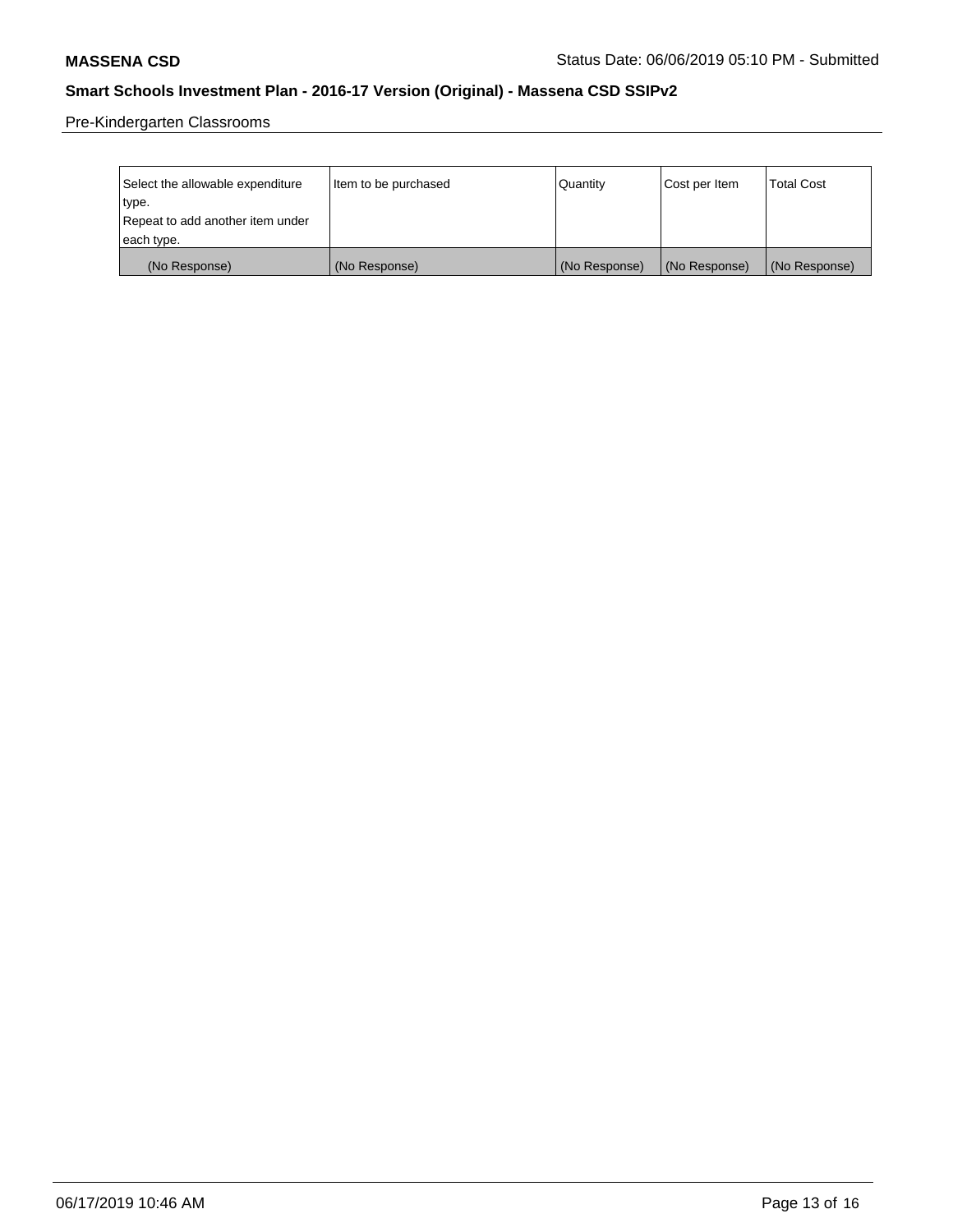Pre-Kindergarten Classrooms

| Select the allowable expenditure | Item to be purchased | Quantity      | Cost per Item | <b>Total Cost</b> |
|----------------------------------|----------------------|---------------|---------------|-------------------|
| type.                            |                      |               |               |                   |
| Repeat to add another item under |                      |               |               |                   |
| each type.                       |                      |               |               |                   |
| (No Response)                    | (No Response)        | (No Response) | (No Response) | (No Response)     |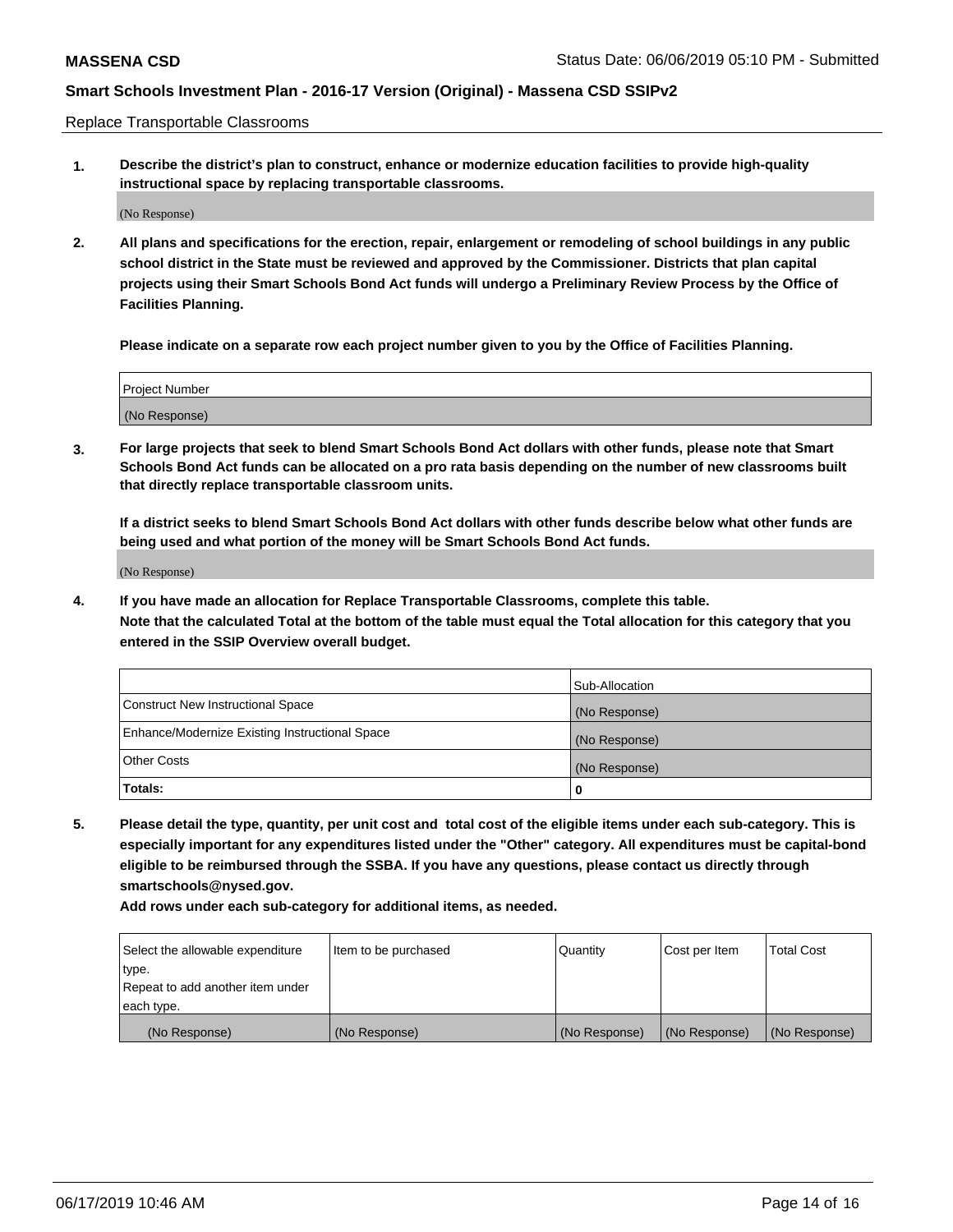Replace Transportable Classrooms

**1. Describe the district's plan to construct, enhance or modernize education facilities to provide high-quality instructional space by replacing transportable classrooms.**

(No Response)

**2. All plans and specifications for the erection, repair, enlargement or remodeling of school buildings in any public school district in the State must be reviewed and approved by the Commissioner. Districts that plan capital projects using their Smart Schools Bond Act funds will undergo a Preliminary Review Process by the Office of Facilities Planning.**

**Please indicate on a separate row each project number given to you by the Office of Facilities Planning.**

| Project Number |  |
|----------------|--|
|                |  |
|                |  |
|                |  |
|                |  |
| (No Response)  |  |
|                |  |
|                |  |
|                |  |

**3. For large projects that seek to blend Smart Schools Bond Act dollars with other funds, please note that Smart Schools Bond Act funds can be allocated on a pro rata basis depending on the number of new classrooms built that directly replace transportable classroom units.**

**If a district seeks to blend Smart Schools Bond Act dollars with other funds describe below what other funds are being used and what portion of the money will be Smart Schools Bond Act funds.**

(No Response)

**4. If you have made an allocation for Replace Transportable Classrooms, complete this table. Note that the calculated Total at the bottom of the table must equal the Total allocation for this category that you entered in the SSIP Overview overall budget.**

|                                                | Sub-Allocation |
|------------------------------------------------|----------------|
| Construct New Instructional Space              | (No Response)  |
| Enhance/Modernize Existing Instructional Space | (No Response)  |
| <b>Other Costs</b>                             | (No Response)  |
| Totals:                                        | 0              |

**5. Please detail the type, quantity, per unit cost and total cost of the eligible items under each sub-category. This is especially important for any expenditures listed under the "Other" category. All expenditures must be capital-bond eligible to be reimbursed through the SSBA. If you have any questions, please contact us directly through smartschools@nysed.gov.**

| Select the allowable expenditure | Item to be purchased | l Quantitv    | Cost per Item | <b>Total Cost</b> |
|----------------------------------|----------------------|---------------|---------------|-------------------|
| type.                            |                      |               |               |                   |
| Repeat to add another item under |                      |               |               |                   |
| each type.                       |                      |               |               |                   |
| (No Response)                    | (No Response)        | (No Response) | (No Response) | (No Response)     |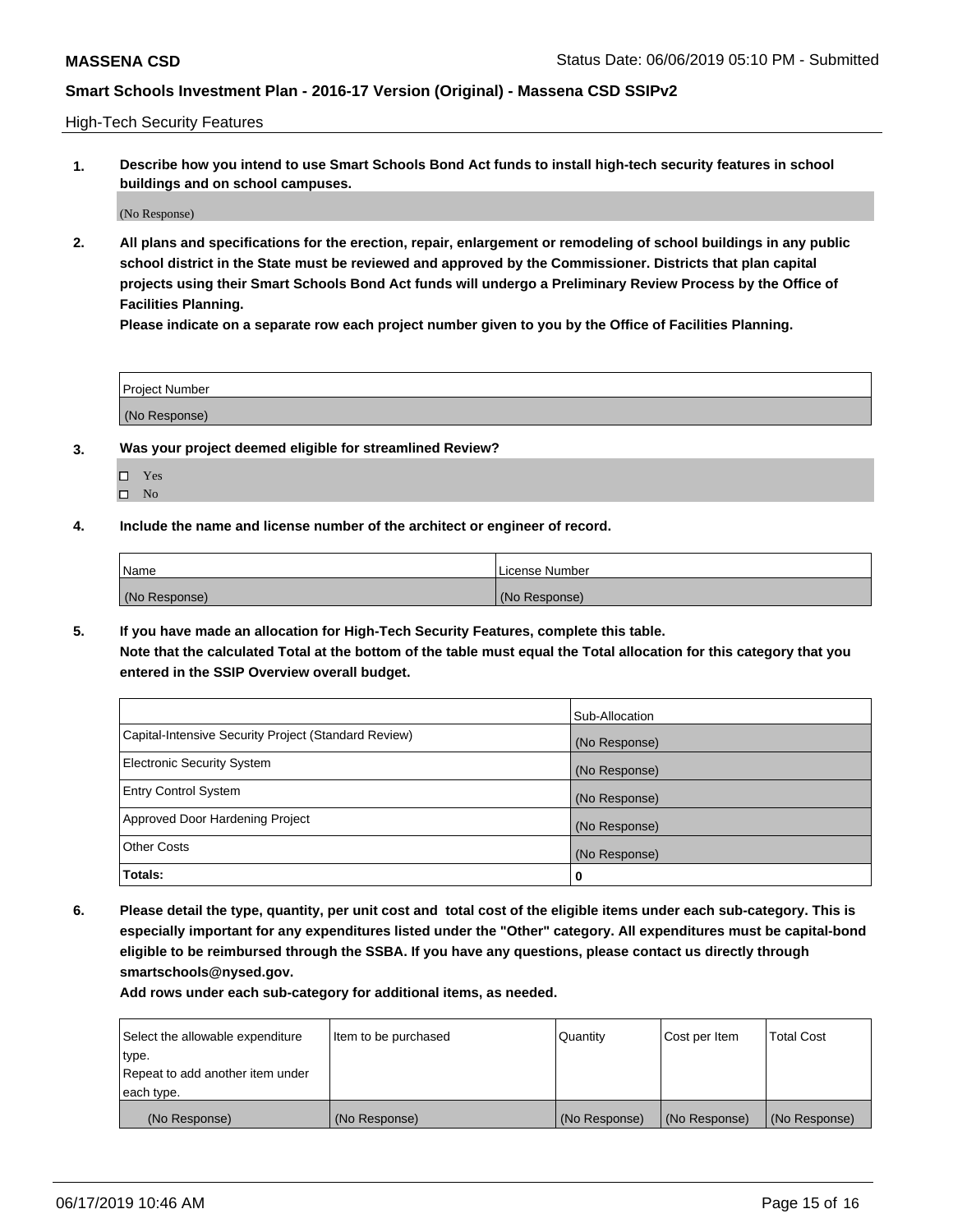High-Tech Security Features

**1. Describe how you intend to use Smart Schools Bond Act funds to install high-tech security features in school buildings and on school campuses.**

(No Response)

**2. All plans and specifications for the erection, repair, enlargement or remodeling of school buildings in any public school district in the State must be reviewed and approved by the Commissioner. Districts that plan capital projects using their Smart Schools Bond Act funds will undergo a Preliminary Review Process by the Office of Facilities Planning.** 

**Please indicate on a separate row each project number given to you by the Office of Facilities Planning.**

| <b>Project Number</b> |  |
|-----------------------|--|
| (No Response)         |  |

- **3. Was your project deemed eligible for streamlined Review?**
	- Yes
	- $\square$  No
- **4. Include the name and license number of the architect or engineer of record.**

| <b>Name</b>   | License Number |
|---------------|----------------|
| (No Response) | (No Response)  |

**5. If you have made an allocation for High-Tech Security Features, complete this table.**

**Note that the calculated Total at the bottom of the table must equal the Total allocation for this category that you entered in the SSIP Overview overall budget.**

|                                                      | Sub-Allocation |
|------------------------------------------------------|----------------|
| Capital-Intensive Security Project (Standard Review) | (No Response)  |
| <b>Electronic Security System</b>                    | (No Response)  |
| <b>Entry Control System</b>                          | (No Response)  |
| Approved Door Hardening Project                      | (No Response)  |
| <b>Other Costs</b>                                   | (No Response)  |
| Totals:                                              | 0              |

**6. Please detail the type, quantity, per unit cost and total cost of the eligible items under each sub-category. This is especially important for any expenditures listed under the "Other" category. All expenditures must be capital-bond eligible to be reimbursed through the SSBA. If you have any questions, please contact us directly through smartschools@nysed.gov.**

| Select the allowable expenditure | Item to be purchased | l Quantitv    | Cost per Item | <b>Total Cost</b> |
|----------------------------------|----------------------|---------------|---------------|-------------------|
| type.                            |                      |               |               |                   |
| Repeat to add another item under |                      |               |               |                   |
| each type.                       |                      |               |               |                   |
| (No Response)                    | (No Response)        | (No Response) | (No Response) | (No Response)     |